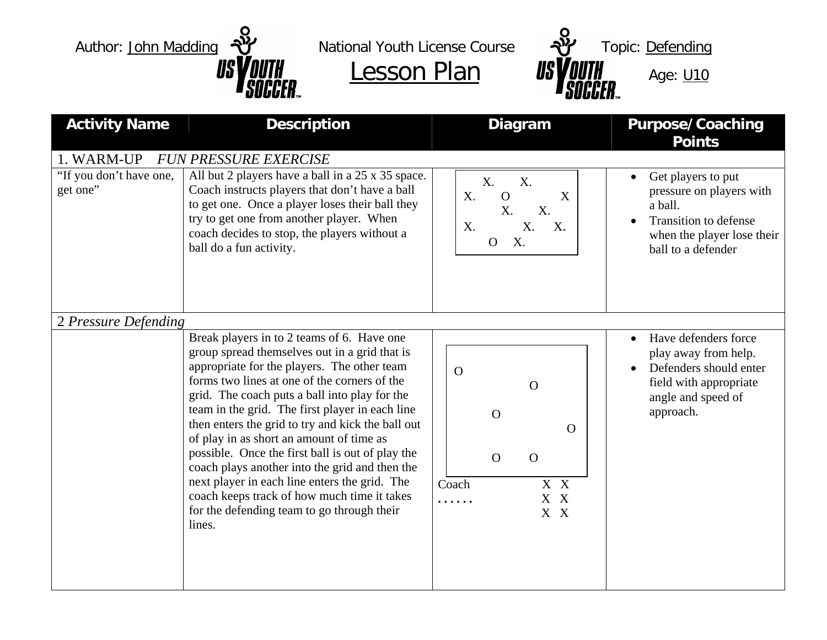



| <b>Activity Name</b>                              | <b>Description</b>                                                                                                                                                                                                                                                                                                                                                                                                                                                                                                                                                                                                                                            | Diagram                                                                                                     | <b>Purpose/Coaching</b><br><b>Points</b>                                                                                               |
|---------------------------------------------------|---------------------------------------------------------------------------------------------------------------------------------------------------------------------------------------------------------------------------------------------------------------------------------------------------------------------------------------------------------------------------------------------------------------------------------------------------------------------------------------------------------------------------------------------------------------------------------------------------------------------------------------------------------------|-------------------------------------------------------------------------------------------------------------|----------------------------------------------------------------------------------------------------------------------------------------|
| 1. WARM-UP<br>"If you don't have one,<br>get one" | <b>FUN PRESSURE EXERCISE</b><br>All but 2 players have a ball in a 25 x 35 space.<br>Coach instructs players that don't have a ball<br>to get one. Once a player loses their ball they<br>try to get one from another player. When<br>coach decides to stop, the players without a<br>ball do a fun activity.                                                                                                                                                                                                                                                                                                                                                 | X.<br>X.<br>X.<br>$\Omega$<br>X<br>X.<br>X.<br>X.<br>X.<br>X.<br>X.<br>$\mathbf{O}$                         | Get players to put<br>pressure on players with<br>a ball.<br>Transition to defense<br>when the player lose their<br>ball to a defender |
| 2 Pressure Defending                              | Break players in to 2 teams of 6. Have one<br>group spread themselves out in a grid that is<br>appropriate for the players. The other team<br>forms two lines at one of the corners of the<br>grid. The coach puts a ball into play for the<br>team in the grid. The first player in each line<br>then enters the grid to try and kick the ball out<br>of play in as short an amount of time as<br>possible. Once the first ball is out of play the<br>coach plays another into the grid and then the<br>next player in each line enters the grid. The<br>coach keeps track of how much time it takes<br>for the defending team to go through their<br>lines. | $\Omega$<br>$\Omega$<br>$\mathbf{O}$<br>$\Omega$<br>$\Omega$<br>$\Omega$<br>Coach<br>X X<br>X X<br>.<br>X X | Have defenders force<br>play away from help.<br>Defenders should enter<br>field with appropriate<br>angle and speed of<br>approach.    |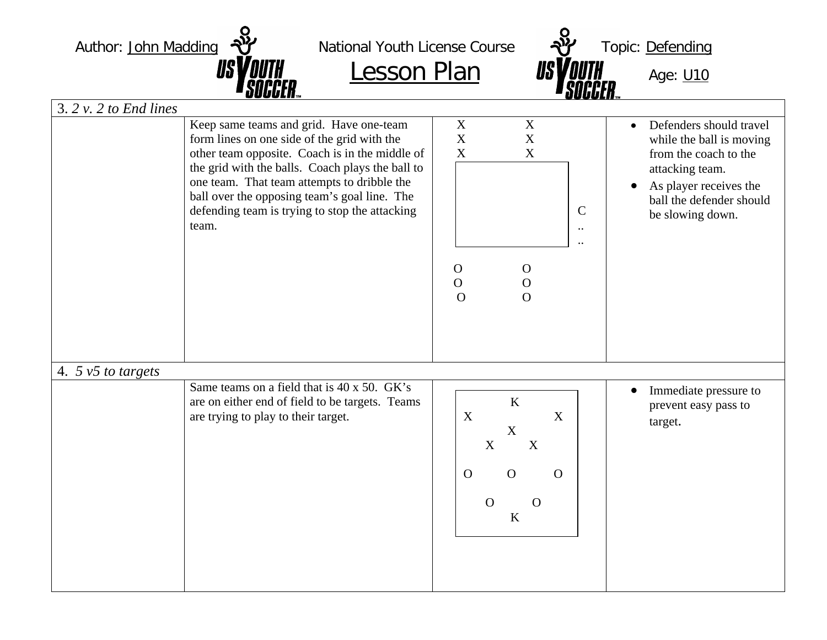Author: John Madding  $\frac{1}{2}$  National Youth License Course  $\frac{1}{2}$  Topic: Defending  $Lesson Plan$  *USYQUIH* Age: **U10**</u> 3. *2 v. 2 to End lines* Keep same teams and grid. Have one-team form lines on one side of the grid with the other team opposite. Coach is in the middle of the grid with the balls. Coach plays the ball to one team. That team attempts to dribble the ball over the opposing team's goal line. The defending team is trying to stop the attacking team. X X X X X X C .. .. O O O O  $\Omega$   $\Omega$ • Defenders should travel while the ball is moving from the coach to the attacking team.  $\bullet$  As player receives the ball the defender should be slowing down. 4. *5 v5 to targets*  Same teams on a field that is 40 x 50. GK's are on either end of field to be targets. Teams are trying to play to their target.  $\bullet$  Immediate pressure to prevent easy pass to target. K X X X X X O O O O O K